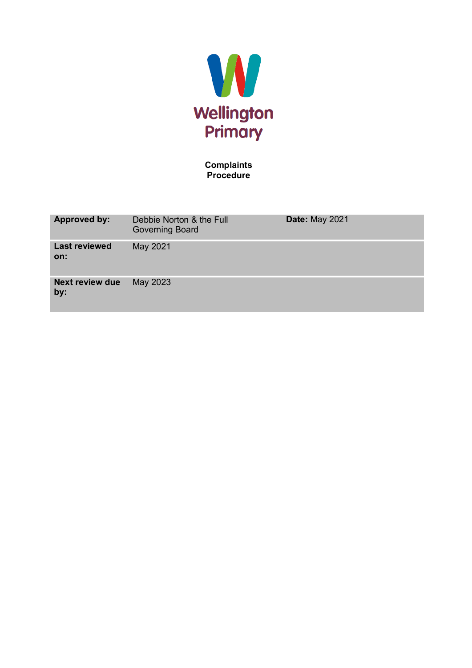

**Complaints Procedure**

| <b>Approved by:</b>           | Debbie Norton & the Full<br><b>Governing Board</b> | <b>Date: May 2021</b> |
|-------------------------------|----------------------------------------------------|-----------------------|
| <b>Last reviewed</b><br>on:   | May 2021                                           |                       |
| <b>Next review due</b><br>by: | May 2023                                           |                       |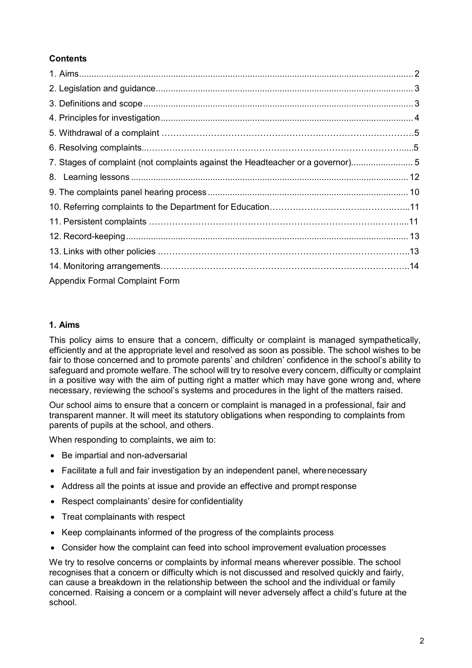# **Contents**

| 7. Stages of complaint (not complaints against the Headteacher or a governor)5 |  |
|--------------------------------------------------------------------------------|--|
|                                                                                |  |
|                                                                                |  |
|                                                                                |  |
|                                                                                |  |
|                                                                                |  |
|                                                                                |  |
|                                                                                |  |
| <b>Appendix Formal Complaint Form</b>                                          |  |

## <span id="page-1-0"></span>**1. Aims**

This policy aims to ensure that a concern, difficulty or complaint is managed sympathetically, efficiently and at the appropriate level and resolved as soon as possible. The school wishes to be fair to those concerned and to promote parents' and children' confidence in the school's ability to safeguard and promote welfare. The school will try to resolve every concern, difficulty or complaint in a positive way with the aim of putting right a matter which may have gone wrong and, where necessary, reviewing the school's systems and procedures in the light of the matters raised.

Our school aims to ensure that a concern or complaint is managed in a professional, fair and transparent manner. It will meet its statutory obligations when responding to complaints from parents of pupils at the school, and others.

When responding to complaints, we aim to:

- Be impartial and non-adversarial
- Facilitate a full and fair investigation by an independent panel, wherenecessary
- Address all the points at issue and provide an effective and prompt response
- Respect complainants' desire for confidentiality
- Treat complainants with respect
- Keep complainants informed of the progress of the complaints process
- Consider how the complaint can feed into school improvement evaluation processes

We try to resolve concerns or complaints by informal means wherever possible. The school recognises that a concern or difficulty which is not discussed and resolved quickly and fairly, can cause a breakdown in the relationship between the school and the individual or family concerned. Raising a concern or a complaint will never adversely affect a child's future at the school.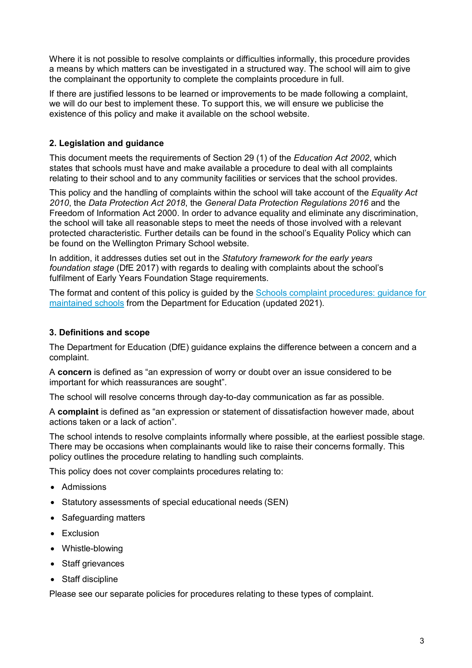Where it is not possible to resolve complaints or difficulties informally, this procedure provides a means by which matters can be investigated in a structured way. The school will aim to give the complainant the opportunity to complete the complaints procedure in full.

If there are justified lessons to be learned or improvements to be made following a complaint, we will do our best to implement these. To support this, we will ensure we publicise the existence of this policy and make it available on the school website.

# <span id="page-2-0"></span>**2. Legislation and guidance**

This document meets the requirements of Section 29 (1) of the *Education Act 2002*, which states that schools must have and make available a procedure to deal with all complaints relating to their school and to any community facilities or services that the school provides.

This policy and the handling of complaints within the school will take account of the *Equality Act 2010*, the *Data Protection Act 2018*, the *General Data Protection Regulations 2016* and the Freedom of Information Act 2000. In order to advance equality and eliminate any discrimination, the school will take all reasonable steps to meet the needs of those involved with a relevant protected characteristic. Further details can be found in the school's Equality Policy which can be found on the Wellington Primary School website.

In addition, it addresses duties set out in the *Statutory framework for the early years foundation stage* (DfE 2017) with regards to dealing with complaints about the school's fulfilment of Early Years Foundation Stage requirements.

The format and content of this policy is guided by the Schools complaint procedures: guidance for [maintained schools](https://www.gov.uk/government/publications/school-complaints-procedures) from the Department for Education (updated 2021).

# <span id="page-2-1"></span>**3. Definitions and scope**

The Department for Education (DfE) guidance explains the difference between a concern and a complaint.

A **concern** is defined as "an expression of worry or doubt over an issue considered to be important for which reassurances are sought".

The school will resolve concerns through day-to-day communication as far as possible.

A **complaint** is defined as "an expression or statement of dissatisfaction however made, about actions taken or a lack of action".

The school intends to resolve complaints informally where possible, at the earliest possible stage. There may be occasions when complainants would like to raise their concerns formally. This policy outlines the procedure relating to handling such complaints.

This policy does not cover complaints procedures relating to:

- Admissions
- Statutory assessments of special educational needs (SEN)
- Safeguarding matters
- Exclusion
- Whistle-blowing
- Staff grievances
- Staff discipline

Please see our separate policies for procedures relating to these types of complaint.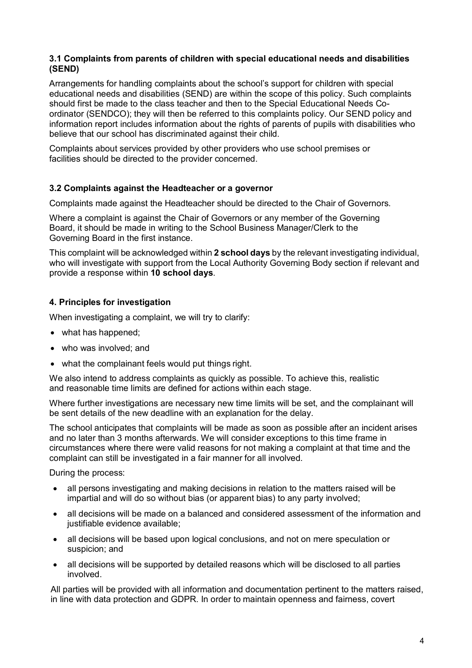## **3.1 Complaints from parents of children with special educational needs and disabilities (SEND)**

Arrangements for handling complaints about the school's support for children with special educational needs and disabilities (SEND) are within the scope of this policy. Such complaints should first be made to the class teacher and then to the Special Educational Needs Coordinator (SENDCO); they will then be referred to this complaints policy. Our SEND policy and information report includes information about the rights of parents of pupils with disabilities who believe that our school has discriminated against their child.

Complaints about services provided by other providers who use school premises or facilities should be directed to the provider concerned.

### **3.2 Complaints against the Headteacher or a governor**

Complaints made against the Headteacher should be directed to the Chair of Governors.

Where a complaint is against the Chair of Governors or any member of the Governing Board, it should be made in writing to the School Business Manager/Clerk to the Governing Board in the first instance.

This complaint will be acknowledged within **2 school days** by the relevant investigating individual, who will investigate with support from the Local Authority Governing Body section if relevant and provide a response within **10 school days**.

## <span id="page-3-0"></span>**4. Principles for investigation**

When investigating a complaint, we will try to clarify:

- what has happened:
- who was involved; and
- what the complainant feels would put things right.

We also intend to address complaints as quickly as possible. To achieve this, realistic and reasonable time limits are defined for actions within each stage.

Where further investigations are necessary new time limits will be set, and the complainant will be sent details of the new deadline with an explanation for the delay.

The school anticipates that complaints will be made as soon as possible after an incident arises and no later than 3 months afterwards. We will consider exceptions to this time frame in circumstances where there were valid reasons for not making a complaint at that time and the complaint can still be investigated in a fair manner for all involved.

During the process:

- all persons investigating and making decisions in relation to the matters raised will be impartial and will do so without bias (or apparent bias) to any party involved;
- all decisions will be made on a balanced and considered assessment of the information and justifiable evidence available;
- all decisions will be based upon logical conclusions, and not on mere speculation or suspicion; and
- all decisions will be supported by detailed reasons which will be disclosed to all parties involved.

All parties will be provided with all information and documentation pertinent to the matters raised, in line with data protection and GDPR. In order to maintain openness and fairness, covert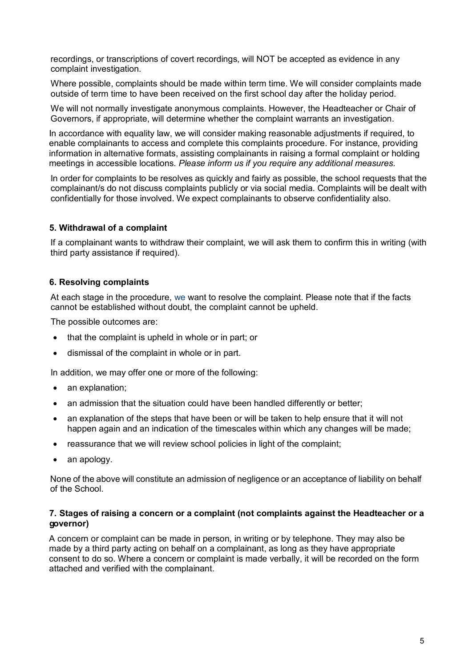recordings, or transcriptions of covert recordings, will NOT be accepted as evidence in any complaint investigation.

Where possible, complaints should be made within term time. We will consider complaints made outside of term time to have been received on the first school day after the holiday period.

We will not normally investigate anonymous complaints. However, the Headteacher or Chair of Governors, if appropriate, will determine whether the complaint warrants an investigation.

In accordance with equality law, we will consider making reasonable adjustments if required, to enable complainants to access and complete this complaints procedure. For instance, providing information in alternative formats, assisting complainants in raising a formal complaint or holding meetings in accessible locations. *Please inform us if you require any additional measures.*

In order for complaints to be resolves as quickly and fairly as possible, the school requests that the complainant/s do not discuss complaints publicly or via social media. Complaints will be dealt with confidentially for those involved. We expect complainants to observe confidentiality also.

### **5. Withdrawal of a complaint**

If a complainant wants to withdraw their complaint, we will ask them to confirm this in writing (with third party assistance if required).

#### **6. Resolving complaints**

At each stage in the procedure, we want to resolve the complaint. Please note that if the facts cannot be established without doubt, the complaint cannot be upheld.

The possible outcomes are:

- that the complaint is upheld in whole or in part; or
- dismissal of the complaint in whole or in part.

In addition, we may offer one or more of the following:

- an explanation:
- an admission that the situation could have been handled differently or better;
- an explanation of the steps that have been or will be taken to help ensure that it will not happen again and an indication of the timescales within which any changes will be made;
- reassurance that we will review school policies in light of the complaint:
- an apology.

None of the above will constitute an admission of negligence or an acceptance of liability on behalf of the School.

#### **7. Stages of raising a concern or a complaint (not complaints against the Headteacher or a governor)**

A concern or complaint can be made in person, in writing or by telephone. They may also be made by a third party acting on behalf on a complainant, as long as they have appropriate consent to do so. Where a concern or complaint is made verbally, it will be recorded on the form attached and verified with the complainant.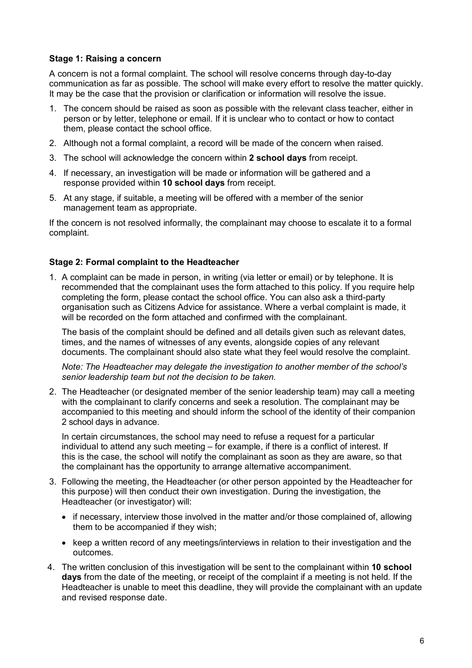## **Stage 1: Raising a concern**

A concern is not a formal complaint. The school will resolve concerns through day-to-day communication as far as possible. The school will make every effort to resolve the matter quickly. It may be the case that the provision or clarification or information will resolve the issue.

- 1. The concern should be raised as soon as possible with the relevant class teacher, either in person or by letter, telephone or email. If it is unclear who to contact or how to contact them, please contact the school office.
- 2. Although not a formal complaint, a record will be made of the concern when raised.
- 3. The school will acknowledge the concern within **2 school days** from receipt.
- 4. If necessary, an investigation will be made or information will be gathered and a response provided within **10 school days** from receipt.
- 5. At any stage, if suitable, a meeting will be offered with a member of the senior management team as appropriate.

If the concern is not resolved informally, the complainant may choose to escalate it to a formal complaint.

### **Stage 2: Formal complaint to the Headteacher**

1. A complaint can be made in person, in writing (via letter or email) or by telephone. It is recommended that the complainant uses the form attached to this policy. If you require help completing the form, please contact the school office. You can also ask a third-party organisation such as Citizens Advice for assistance. Where a verbal complaint is made, it will be recorded on the form attached and confirmed with the complainant.

The basis of the complaint should be defined and all details given such as relevant dates, times, and the names of witnesses of any events, alongside copies of any relevant documents. The complainant should also state what they feel would resolve the complaint.

*Note: The Headteacher may delegate the investigation to another member of the school's senior leadership team but not the decision to be taken.*

2. The Headteacher (or designated member of the senior leadership team) may call a meeting with the complainant to clarify concerns and seek a resolution. The complainant may be accompanied to this meeting and should inform the school of the identity of their companion 2 school days in advance.

In certain circumstances, the school may need to refuse a request for a particular individual to attend any such meeting – for example, if there is a conflict of interest. If this is the case, the school will notify the complainant as soon as they are aware, so that the complainant has the opportunity to arrange alternative accompaniment.

- 3. Following the meeting, the Headteacher (or other person appointed by the Headteacher for this purpose) will then conduct their own investigation. During the investigation, the Headteacher (or investigator) will:
	- if necessary, interview those involved in the matter and/or those complained of, allowing them to be accompanied if they wish;
	- keep a written record of any meetings/interviews in relation to their investigation and the outcomes.
- 4. The written conclusion of this investigation will be sent to the complainant within **10 school days** from the date of the meeting, or receipt of the complaint if a meeting is not held. If the Headteacher is unable to meet this deadline, they will provide the complainant with an update and revised response date.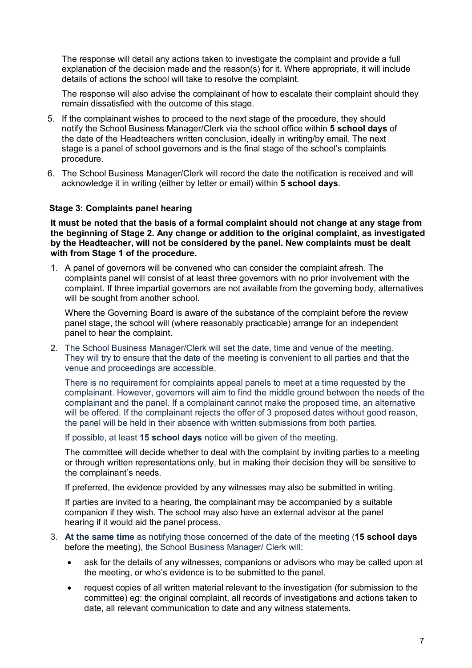The response will detail any actions taken to investigate the complaint and provide a full explanation of the decision made and the reason(s) for it. Where appropriate, it will include details of actions the school will take to resolve the complaint.

The response will also advise the complainant of how to escalate their complaint should they remain dissatisfied with the outcome of this stage.

- 5. If the complainant wishes to proceed to the next stage of the procedure, they should notify the School Business Manager/Clerk via the school office within **5 school days** of the date of the Headteachers written conclusion, ideally in writing/by email. The next stage is a panel of school governors and is the final stage of the school's complaints procedure.
- 6. The School Business Manager/Clerk will record the date the notification is received and will acknowledge it in writing (either by letter or email) within **5 school days**.

#### **Stage 3: Complaints panel hearing**

**It must be noted that the basis of a formal complaint should not change at any stage from the beginning of Stage 2. Any change or addition to the original complaint, as investigated by the Headteacher, will not be considered by the panel. New complaints must be dealt with from Stage 1 of the procedure.**

1. A panel of governors will be convened who can consider the complaint afresh. The complaints panel will consist of at least three governors with no prior involvement with the complaint. If three impartial governors are not available from the governing body, alternatives will be sought from another school.

Where the Governing Board is aware of the substance of the complaint before the review panel stage, the school will (where reasonably practicable) arrange for an independent panel to hear the complaint.

2. The School Business Manager/Clerk will set the date, time and venue of the meeting. They will try to ensure that the date of the meeting is convenient to all parties and that the venue and proceedings are accessible.

There is no requirement for complaints appeal panels to meet at a time requested by the complainant. However, governors will aim to find the middle ground between the needs of the complainant and the panel. If a complainant cannot make the proposed time, an alternative will be offered. If the complainant rejects the offer of 3 proposed dates without good reason, the panel will be held in their absence with written submissions from both parties.

If possible, at least **15 school days** notice will be given of the meeting.

The committee will decide whether to deal with the complaint by inviting parties to a meeting or through written representations only, but in making their decision they will be sensitive to the complainant's needs.

If preferred, the evidence provided by any witnesses may also be submitted in writing.

If parties are invited to a hearing, the complainant may be accompanied by a suitable companion if they wish. The school may also have an external advisor at the panel hearing if it would aid the panel process.

- 3. **At the same time** as notifying those concerned of the date of the meeting (**15 school days** before the meeting), the School Business Manager/ Clerk will:
	- ask for the details of any witnesses, companions or advisors who may be called upon at the meeting, or who's evidence is to be submitted to the panel.
	- request copies of all written material relevant to the investigation (for submission to the committee) eg: the original complaint, all records of investigations and actions taken to date, all relevant communication to date and any witness statements.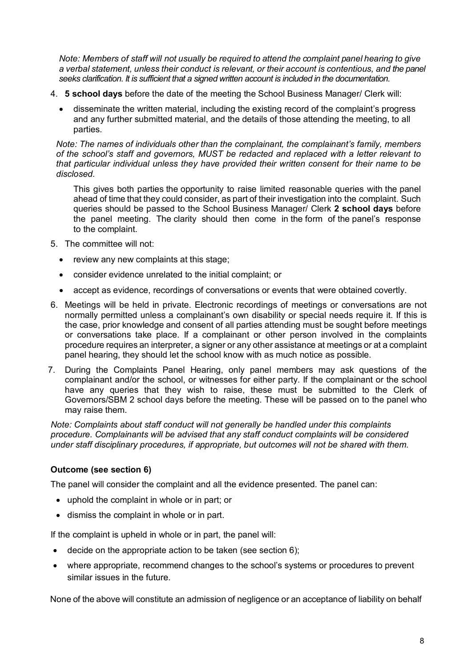*Note: Members of staff will not usually be required to attend the complaint panel hearing to give a verbal statement, unless their conduct is relevant, or their account is contentious, and the panel seeks clarification. It is sufficient that a signed written account is included in the documentation.*

- 4. **5 school days** before the date of the meeting the School Business Manager/ Clerk will:
	- disseminate the written material, including the existing record of the complaint's progress and any further submitted material, and the details of those attending the meeting, to all parties.

*Note: The names of individuals other than the complainant, the complainant's family, members of the school's staff and governors, MUST be redacted and replaced with a letter relevant to that particular individual unless they have provided their written consent for their name to be disclosed.*

This gives both parties the opportunity to raise limited reasonable queries with the panel ahead of time that they could consider, as part of their investigation into the complaint. Such queries should be passed to the School Business Manager/ Clerk **2 school days** before the panel meeting. The clarity should then come in the form of the panel's response to the complaint.

- 5. The committee will not:
	- review any new complaints at this stage;
	- consider evidence unrelated to the initial complaint; or
	- accept as evidence, recordings of conversations or events that were obtained covertly.
- 6. Meetings will be held in private. Electronic recordings of meetings or conversations are not normally permitted unless a complainant's own disability or special needs require it. If this is the case, prior knowledge and consent of all parties attending must be sought before meetings or conversations take place. If a complainant or other person involved in the complaints procedure requires an interpreter, a signer or any other assistance at meetings or at a complaint panel hearing, they should let the school know with as much notice as possible.
- 7. During the Complaints Panel Hearing, only panel members may ask questions of the complainant and/or the school, or witnesses for either party. If the complainant or the school have any queries that they wish to raise, these must be submitted to the Clerk of Governors/SBM 2 school days before the meeting. These will be passed on to the panel who may raise them.

*Note: Complaints about staff conduct will not generally be handled under this complaints procedure. Complainants will be advised that any staff conduct complaints will be considered under staff disciplinary procedures, if appropriate, but outcomes will not be shared with them.* 

### **Outcome (see section 6)**

The panel will consider the complaint and all the evidence presented. The panel can:

- uphold the complaint in whole or in part; or
- dismiss the complaint in whole or in part.

If the complaint is upheld in whole or in part, the panel will:

- decide on the appropriate action to be taken (see section 6);
- where appropriate, recommend changes to the school's systems or procedures to prevent similar issues in the future.

None of the above will constitute an admission of negligence or an acceptance of liability on behalf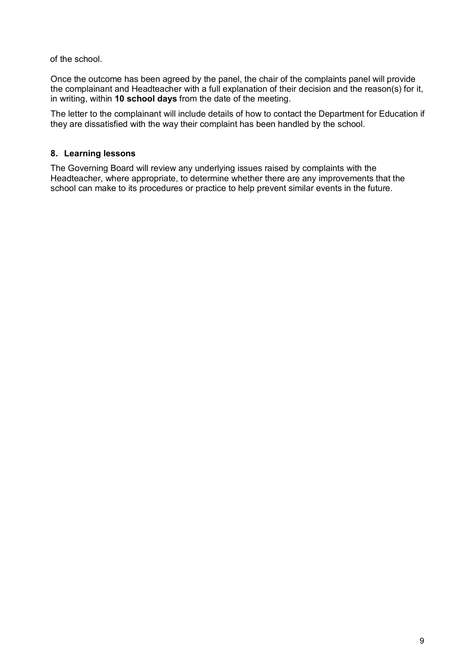of the school.

Once the outcome has been agreed by the panel, the chair of the complaints panel will provide the complainant and Headteacher with a full explanation of their decision and the reason(s) for it, in writing, within **10 school days** from the date of the meeting.

The letter to the complainant will include details of how to contact the Department for Education if they are dissatisfied with the way their complaint has been handled by the school.

# <span id="page-8-0"></span>**8. Learning lessons**

The Governing Board will review any underlying issues raised by complaints with the Headteacher, where appropriate, to determine whether there are any improvements that the school can make to its procedures or practice to help prevent similar events in the future.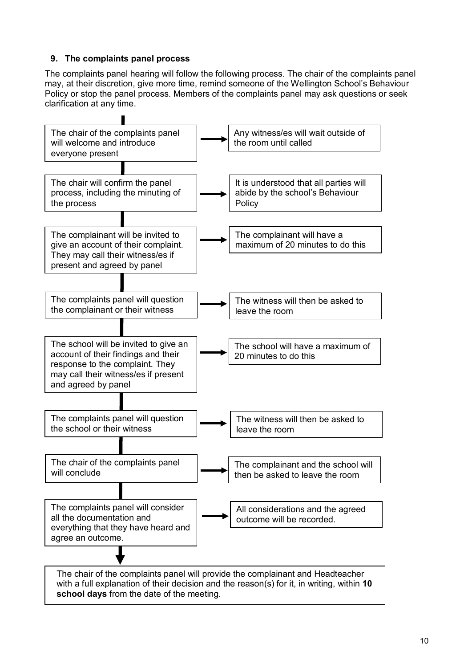# **9. The complaints panel process**

The complaints panel hearing will follow the following process. The chair of the complaints panel may, at their discretion, give more time, remind someone of the Wellington School's Behaviour Policy or stop the panel process. Members of the complaints panel may ask questions or seek clarification at any time.



**school days** from the date of the meeting.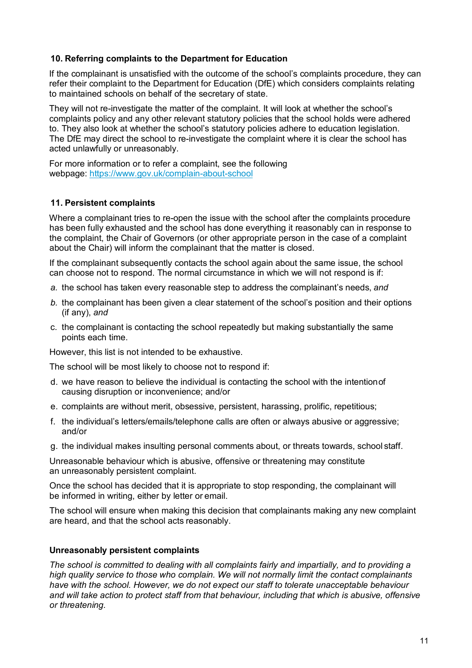## <span id="page-10-0"></span>**10. Referring complaints to the Department for Education**

If the complainant is unsatisfied with the outcome of the school's complaints procedure, they can refer their complaint to the Department for Education (DfE) which considers complaints relating to maintained schools on behalf of the secretary of state.

They will not re-investigate the matter of the complaint. It will look at whether the school's complaints policy and any other relevant statutory policies that the school holds were adhered to. They also look at whether the school's statutory policies adhere to education legislation. The DfE may direct the school to re-investigate the complaint where it is clear the school has acted unlawfully or unreasonably.

For more information or to refer a complaint, see the following webpage:<https://www.gov.uk/complain-about-school>

## **11. Persistent complaints**

Where a complainant tries to re-open the issue with the school after the complaints procedure has been fully exhausted and the school has done everything it reasonably can in response to the complaint, the Chair of Governors (or other appropriate person in the case of a complaint about the Chair) will inform the complainant that the matter is closed.

If the complainant subsequently contacts the school again about the same issue, the school can choose not to respond. The normal circumstance in which we will not respond is if:

- *a.* the school has taken every reasonable step to address the complainant's needs, *and*
- *b.* the complainant has been given a clear statement of the school's position and their options (if any), *and*
- c. the complainant is contacting the school repeatedly but making substantially the same points each time.

However, this list is not intended to be exhaustive.

The school will be most likely to choose not to respond if:

- d. we have reason to believe the individual is contacting the school with the intentionof causing disruption or inconvenience; and/or
- e. complaints are without merit, obsessive, persistent, harassing, prolific, repetitious;
- f. the individual's letters/emails/telephone calls are often or always abusive or aggressive; and/or
- g. the individual makes insulting personal comments about, or threats towards, school staff.

Unreasonable behaviour which is abusive, offensive or threatening may constitute an unreasonably persistent complaint.

Once the school has decided that it is appropriate to stop responding, the complainant will be informed in writing, either by letter or email.

The school will ensure when making this decision that complainants making any new complaint are heard, and that the school acts reasonably.

### **Unreasonably persistent complaints**

*The school is committed to dealing with all complaints fairly and impartially, and to providing a high quality service to those who complain. We will not normally limit the contact complainants have with the school. However, we do not expect our staff to tolerate unacceptable behaviour and will take action to protect staff from that behaviour, including that which is abusive, offensive or threatening.*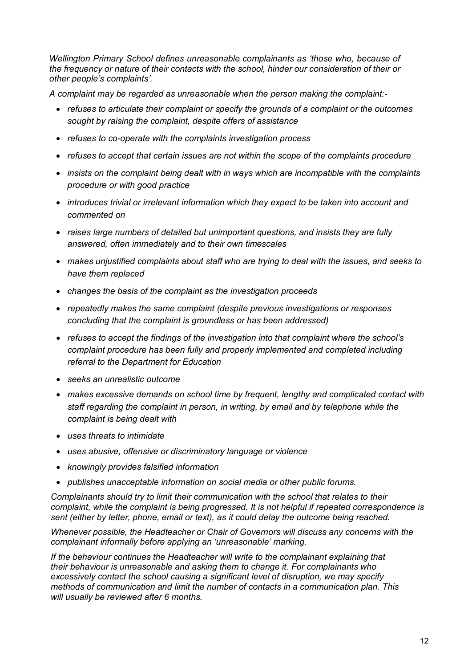*Wellington Primary School defines unreasonable complainants as 'those who, because of the frequency or nature of their contacts with the school, hinder our consideration of their or other people's complaints'.*

*A complaint may be regarded as unreasonable when the person making the complaint:-*

- *refuses to articulate their complaint or specify the grounds of a complaint or the outcomes sought by raising the complaint, despite offers of assistance*
- *refuses to co-operate with the complaints investigation process*
- *refuses to accept that certain issues are not within the scope of the complaints procedure*
- *insists on the complaint being dealt with in ways which are incompatible with the complaints procedure or with good practice*
- *introduces trivial or irrelevant information which they expect to be taken into account and commented on*
- *raises large numbers of detailed but unimportant questions, and insists they are fully answered, often immediately and to their own timescales*
- *makes unjustified complaints about staff who are trying to deal with the issues, and seeks to have them replaced*
- *changes the basis of the complaint as the investigation proceeds*
- *repeatedly makes the same complaint (despite previous investigations or responses concluding that the complaint is groundless or has been addressed)*
- *refuses to accept the findings of the investigation into that complaint where the school's complaint procedure has been fully and properly implemented and completed including referral to the Department for Education*
- *seeks an unrealistic outcome*
- *makes excessive demands on school time by frequent, lengthy and complicated contact with staff regarding the complaint in person, in writing, by email and by telephone while the complaint is being dealt with*
- *uses threats to intimidate*
- *uses abusive, offensive or discriminatory language or violence*
- *knowingly provides falsified information*
- *publishes unacceptable information on social media or other public forums.*

*Complainants should try to limit their communication with the school that relates to their complaint, while the complaint is being progressed. It is not helpful if repeated correspondence is sent (either by letter, phone, email or text), as it could delay the outcome being reached.* 

*Whenever possible, the Headteacher or Chair of Governors will discuss any concerns with the complainant informally before applying an 'unreasonable' marking.*

*If the behaviour continues the Headteacher will write to the complainant explaining that their behaviour is unreasonable and asking them to change it. For complainants who excessively contact the school causing a significant level of disruption, we may specify methods of communication and limit the number of contacts in a communication plan. This will usually be reviewed after 6 months.*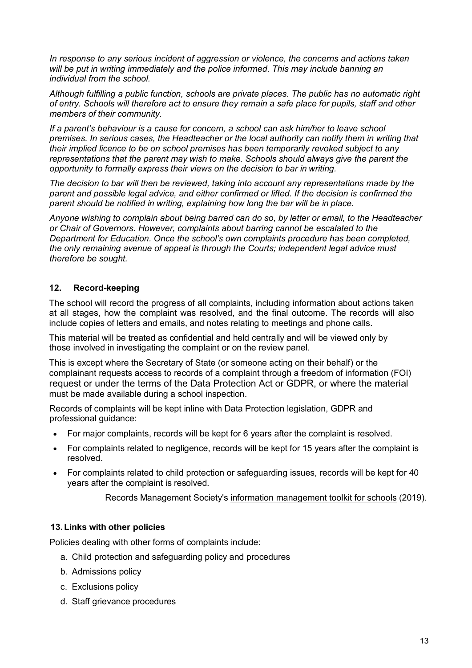*In response to any serious incident of aggression or violence, the concerns and actions taken will be put in writing immediately and the police informed. This may include banning an individual from the school.*

*Although fulfilling a public function, schools are private places. The public has no automatic right of entry. Schools will therefore act to ensure they remain a safe place for pupils, staff and other members of their community.*

*If a parent's behaviour is a cause for concern, a school can ask him/her to leave school premises. In serious cases, the Headteacher or the local authority can notify them in writing that their implied licence to be on school premises has been temporarily revoked subject to any representations that the parent may wish to make. Schools should always give the parent the opportunity to formally express their views on the decision to bar in writing.*

*The decision to bar will then be reviewed, taking into account any representations made by the parent and possible legal advice, and either confirmed or lifted. If the decision is confirmed the parent should be notified in writing, explaining how long the bar will be in place.*

*Anyone wishing to complain about being barred can do so, by letter or email, to the Headteacher or Chair of Governors. However, complaints about barring cannot be escalated to the Department for Education. Once the school's own complaints procedure has been completed, the only remaining avenue of appeal is through the Courts; independent legal advice must therefore be sought.*

# <span id="page-12-0"></span>**12. Record-keeping**

The school will record the progress of all complaints, including information about actions taken at all stages, how the complaint was resolved, and the final outcome. The records will also include copies of letters and emails, and notes relating to meetings and phone calls.

This material will be treated as confidential and held centrally and will be viewed only by those involved in investigating the complaint or on the review panel.

This is except where the Secretary of State (or someone acting on their behalf) or the complainant requests access to records of a complaint through a freedom of information (FOI) request or under the terms of the Data Protection Act or GDPR, or where the material must be made available during a school inspection.

Records of complaints will be kept inline with Data Protection legislation, GDPR and professional guidance:

- For major complaints, records will be kept for 6 years after the complaint is resolved.
- For complaints related to negligence, records will be kept for 15 years after the complaint is resolved.
- For complaints related to child protection or safeguarding issues, records will be kept for 40 years after the complaint is resolved.

Records Management Society's [information management toolkit](https://irms.org.uk/page/SchoolsToolkit) for schools (2019).

### **13.Links with other policies**

Policies dealing with other forms of complaints include:

- a. Child protection and safeguarding policy and procedures
- b. Admissions policy
- c. Exclusions policy
- d. Staff grievance procedures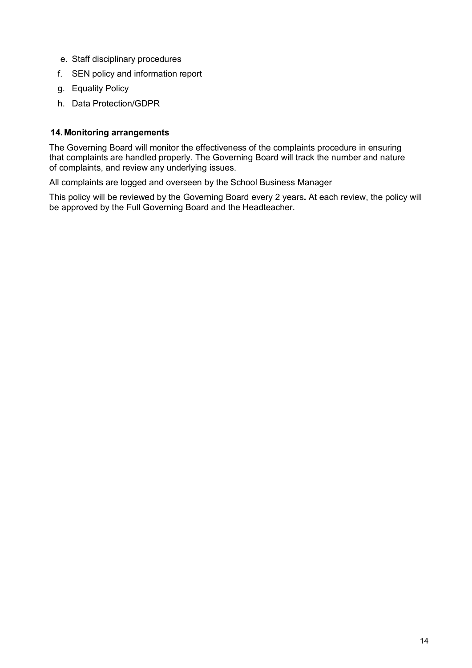- e. Staff disciplinary procedures
- f. SEN policy and information report
- g. Equality Policy
- h. Data Protection/GDPR

## **14.Monitoring arrangements**

The Governing Board will monitor the effectiveness of the complaints procedure in ensuring that complaints are handled properly. The Governing Board will track the number and nature of complaints, and review any underlying issues.

All complaints are logged and overseen by the School Business Manager

This policy will be reviewed by the Governing Board every 2 years**.** At each review, the policy will be approved by the Full Governing Board and the Headteacher.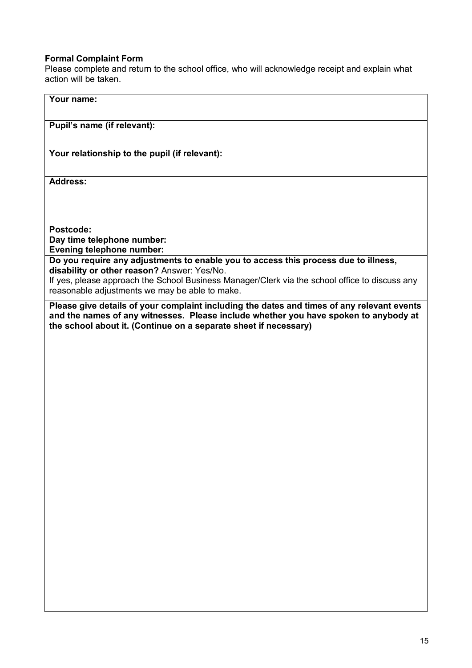# **Formal Complaint Form**

Please complete and return to the school office, who will acknowledge receipt and explain what action will be taken.

| Your name:                                                                                                                                                                                                                                             |
|--------------------------------------------------------------------------------------------------------------------------------------------------------------------------------------------------------------------------------------------------------|
| Pupil's name (if relevant):                                                                                                                                                                                                                            |
| Your relationship to the pupil (if relevant):                                                                                                                                                                                                          |
| <b>Address:</b>                                                                                                                                                                                                                                        |
|                                                                                                                                                                                                                                                        |
| Postcode:<br>Day time telephone number:                                                                                                                                                                                                                |
| Evening telephone number:<br>Do you require any adjustments to enable you to access this process due to illness,<br>disability or other reason? Answer: Yes/No.                                                                                        |
| If yes, please approach the School Business Manager/Clerk via the school office to discuss any<br>reasonable adjustments we may be able to make.                                                                                                       |
| Please give details of your complaint including the dates and times of any relevant events<br>and the names of any witnesses. Please include whether you have spoken to anybody at<br>the school about it. (Continue on a separate sheet if necessary) |
|                                                                                                                                                                                                                                                        |
|                                                                                                                                                                                                                                                        |
|                                                                                                                                                                                                                                                        |
|                                                                                                                                                                                                                                                        |
|                                                                                                                                                                                                                                                        |
|                                                                                                                                                                                                                                                        |
|                                                                                                                                                                                                                                                        |
|                                                                                                                                                                                                                                                        |
|                                                                                                                                                                                                                                                        |
|                                                                                                                                                                                                                                                        |
|                                                                                                                                                                                                                                                        |